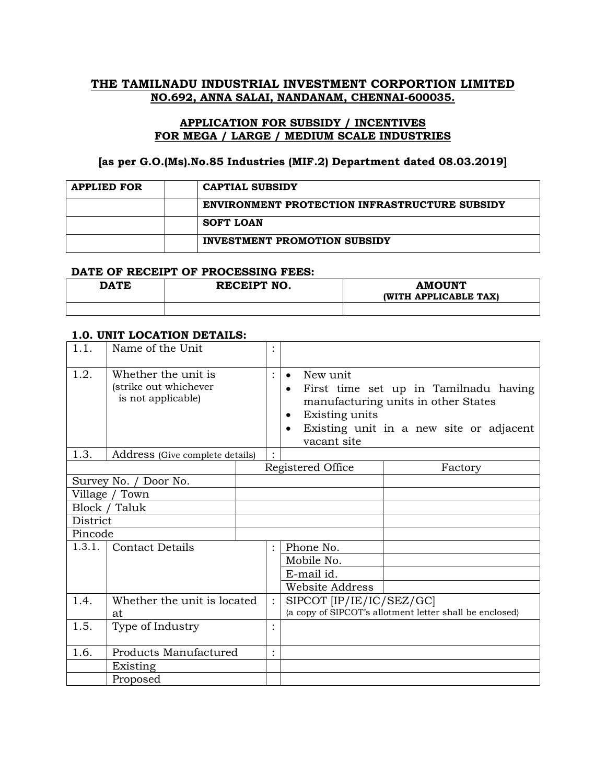## **THE TAMILNADU INDUSTRIAL INVESTMENT CORPORTION LIMITED NO.692, ANNA SALAI, NANDANAM, CHENNAI-600035.**

## **APPLICATION FOR SUBSIDY / INCENTIVES FOR MEGA / LARGE / MEDIUM SCALE INDUSTRIES**

#### **[as per G.O.(Ms).No.85 Industries (MIF.2) Department dated 08.03.2019]**

| <b>APPLIED FOR</b> | <b>CAPTIAL SUBSIDY</b>                               |
|--------------------|------------------------------------------------------|
|                    | <b>ENVIRONMENT PROTECTION INFRASTRUCTURE SUBSIDY</b> |
|                    | SOFT LOAN                                            |
|                    | <b>INVESTMENT PROMOTION SUBSIDY</b>                  |

#### **DATE OF RECEIPT OF PROCESSING FEES:**

| <b>DATE</b> | RECEIPT NO. | <b>AMOUNT</b><br>(WITH APPLICABLE TAX) |
|-------------|-------------|----------------------------------------|
|             |             |                                        |

# **1.0. UNIT LOCATION DETAILS:**

| 1.1.     | Name of the Unit                                                   |  |                |                                                                          |                                                                                                                         |
|----------|--------------------------------------------------------------------|--|----------------|--------------------------------------------------------------------------|-------------------------------------------------------------------------------------------------------------------------|
| 1.2.     | Whether the unit is<br>(strike out whichever<br>is not applicable) |  | $\ddot{\cdot}$ | New unit<br>$\bullet$<br>Existing units<br>٠<br>$\bullet$<br>vacant site | First time set up in Tamilnadu having<br>manufacturing units in other States<br>Existing unit in a new site or adjacent |
| 1.3.     | Address (Give complete details)                                    |  |                |                                                                          |                                                                                                                         |
|          |                                                                    |  |                | Registered Office                                                        | Factory                                                                                                                 |
|          | Survey No. / Door No.                                              |  |                |                                                                          |                                                                                                                         |
|          | Village / Town                                                     |  |                |                                                                          |                                                                                                                         |
|          | Block / Taluk                                                      |  |                |                                                                          |                                                                                                                         |
| District |                                                                    |  |                |                                                                          |                                                                                                                         |
| Pincode  |                                                                    |  |                |                                                                          |                                                                                                                         |
| 1.3.1.   | <b>Contact Details</b>                                             |  | $\ddot{\cdot}$ | Phone No.                                                                |                                                                                                                         |
|          |                                                                    |  |                | Mobile No.                                                               |                                                                                                                         |
|          |                                                                    |  |                | E-mail id.                                                               |                                                                                                                         |
|          |                                                                    |  |                | <b>Website Address</b>                                                   |                                                                                                                         |
| 1.4.     | Whether the unit is located<br>at.                                 |  | $\ddot{\cdot}$ | SIPCOT [IP/IE/IC/SEZ/GC]                                                 | {a copy of SIPCOT's allotment letter shall be enclosed}                                                                 |
| 1.5.     | Type of Industry                                                   |  | $\bullet$      |                                                                          |                                                                                                                         |
| 1.6.     | Products Manufactured                                              |  | $\bullet$      |                                                                          |                                                                                                                         |
|          | Existing                                                           |  |                |                                                                          |                                                                                                                         |
|          | Proposed                                                           |  |                |                                                                          |                                                                                                                         |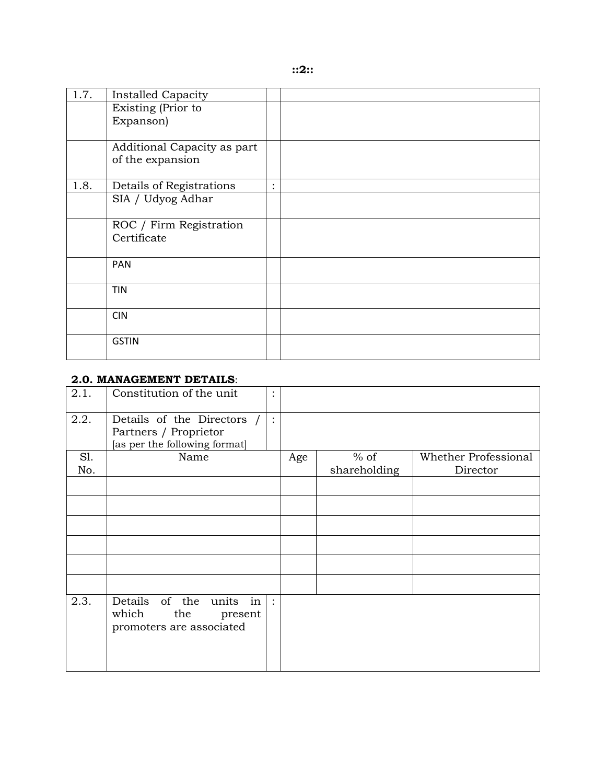| 1.7. | <b>Installed Capacity</b>   |           |  |
|------|-----------------------------|-----------|--|
|      | Existing (Prior to          |           |  |
|      | Expanson)                   |           |  |
|      |                             |           |  |
|      | Additional Capacity as part |           |  |
|      | of the expansion            |           |  |
|      |                             |           |  |
| 1.8. | Details of Registrations    | $\bullet$ |  |
|      | SIA / Udyog Adhar           |           |  |
|      |                             |           |  |
|      | ROC / Firm Registration     |           |  |
|      | Certificate                 |           |  |
|      |                             |           |  |
|      | <b>PAN</b>                  |           |  |
|      |                             |           |  |
|      | <b>TIN</b>                  |           |  |
|      |                             |           |  |
|      | <b>CIN</b>                  |           |  |
|      |                             |           |  |
|      | <b>GSTIN</b>                |           |  |
|      |                             |           |  |

### **2.0. MANAGEMENT DETAILS**:

| 2.1. | Constitution of the unit                                                             | $\bullet$      |     |              |                      |
|------|--------------------------------------------------------------------------------------|----------------|-----|--------------|----------------------|
| 2.2. | Details of the Directors /<br>Partners / Proprietor<br>[as per the following format] | $\ddot{\cdot}$ |     |              |                      |
| S1.  | Name                                                                                 |                | Age | $%$ of       | Whether Professional |
| No.  |                                                                                      |                |     | shareholding | Director             |
|      |                                                                                      |                |     |              |                      |
|      |                                                                                      |                |     |              |                      |
|      |                                                                                      |                |     |              |                      |
|      |                                                                                      |                |     |              |                      |
|      |                                                                                      |                |     |              |                      |
|      |                                                                                      |                |     |              |                      |
| 2.3. | Details of the units in<br>which<br>the<br>present<br>promoters are associated       | $\ddot{\cdot}$ |     |              |                      |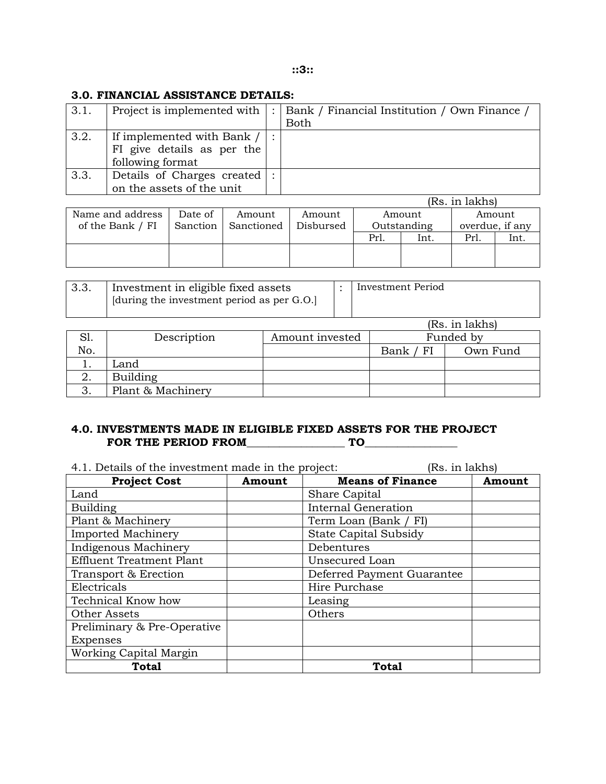## **3.0. FINANCIAL ASSISTANCE DETAILS:**

| 3.1. | Project is implemented with                                                  | Bank / Financial Institution / Own Finance /<br>Both |
|------|------------------------------------------------------------------------------|------------------------------------------------------|
| 3.2. | If implemented with Bank /<br>FI give details as per the<br>following format |                                                      |
| 3.3. | Details of Charges created<br>on the assets of the unit                      |                                                      |

|                  |          |            |           |      |             | (Rs. in lakhs) |                 |
|------------------|----------|------------|-----------|------|-------------|----------------|-----------------|
| Name and address | Date of  | Amount     | Amount    |      | Amount      |                | Amount          |
| of the Bank / FI | Sanction | Sanctioned | Disbursed |      | Outstanding |                | overdue, if any |
|                  |          |            |           | Prl. | Int.        | Prl.           | Int.            |
|                  |          |            |           |      |             |                |                 |
|                  |          |            |           |      |             |                |                 |

| ა.ა. | Investment in eligible fixed assets        | Investment Period |
|------|--------------------------------------------|-------------------|
|      | [during the investment period as per G.O.] |                   |

|     |                   |                 |           | (Rs. in lakhs) |  |
|-----|-------------------|-----------------|-----------|----------------|--|
|     | Description       | Amount invested | Funded by |                |  |
| No. |                   |                 | Bank / FI | Own Fund       |  |
|     | Land              |                 |           |                |  |
| ۷.  | <b>Building</b>   |                 |           |                |  |
|     | Plant & Machinery |                 |           |                |  |

## **4.0. INVESTMENTS MADE IN ELIGIBLE FIXED ASSETS FOR THE PROJECT FOR THE PERIOD FROM\_\_\_\_\_\_\_\_\_\_\_\_\_\_\_\_\_\_ TO\_\_\_\_\_\_\_\_\_\_\_\_\_\_\_\_\_**

4.1. Details of the investment made in the project: (Rs. in lakhs)

| <b>Project Cost</b>             | Amount | <b>Means of Finance</b>      | Amount |
|---------------------------------|--------|------------------------------|--------|
| Land                            |        | Share Capital                |        |
| <b>Building</b>                 |        | <b>Internal Generation</b>   |        |
| Plant & Machinery               |        | Term Loan (Bank / FI)        |        |
| <b>Imported Machinery</b>       |        | <b>State Capital Subsidy</b> |        |
| Indigenous Machinery            |        | Debentures                   |        |
| <b>Effluent Treatment Plant</b> |        | Unsecured Loan               |        |
| Transport & Erection            |        | Deferred Payment Guarantee   |        |
| Electricals                     |        | Hire Purchase                |        |
| Technical Know how              |        | Leasing                      |        |
| Other Assets                    |        | Others                       |        |
| Preliminary & Pre-Operative     |        |                              |        |
| <b>Expenses</b>                 |        |                              |        |
| Working Capital Margin          |        |                              |        |
| <b>Total</b>                    |        | <b>Total</b>                 |        |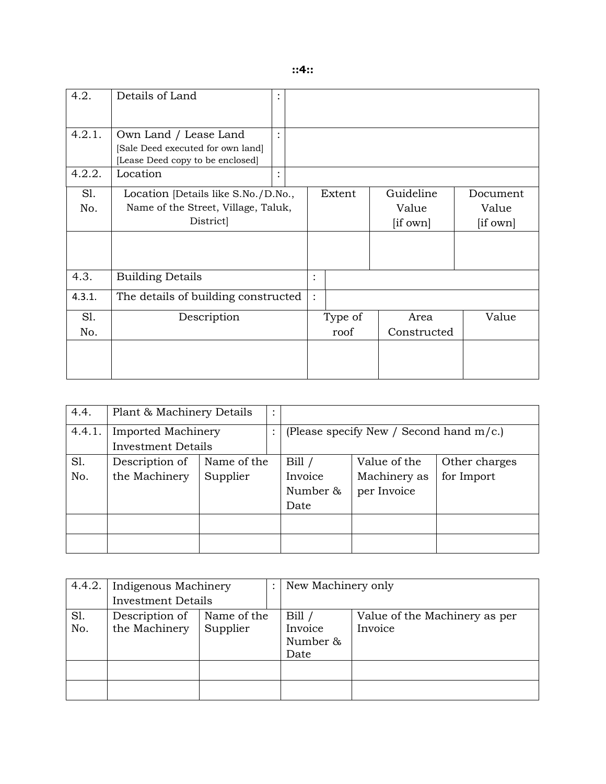|  | ٠<br>۰, | ٠ |  | ۰. | ٠<br>۰, |  |
|--|---------|---|--|----|---------|--|
|--|---------|---|--|----|---------|--|

| 4.2.       | Details of Land                                                                                |          |                |                 |                                |                               |
|------------|------------------------------------------------------------------------------------------------|----------|----------------|-----------------|--------------------------------|-------------------------------|
| 4.2.1.     | Own Land / Lease Land<br>[Sale Deed executed for own land]<br>[Lease Deed copy to be enclosed] | $\vdots$ |                |                 |                                |                               |
| 4.2.2.     | Location                                                                                       |          |                |                 |                                |                               |
| S1.<br>No. | Location [Details like S.No./D.No.,<br>Name of the Street, Village, Taluk,<br>District         |          |                | Extent          | Guideline<br>Value<br>[if own] | Document<br>Value<br>[if own] |
| 4.3.       | <b>Building Details</b>                                                                        |          | $\bullet$      |                 |                                |                               |
| 4.3.1.     | The details of building constructed                                                            |          | $\ddot{\cdot}$ |                 |                                |                               |
| S1.<br>No. | Description                                                                                    |          |                | Type of<br>roof | Area<br>Constructed            | Value                         |
|            |                                                                                                |          |                |                 |                                |                               |

| 4.4.   | Plant & Machinery Details |             | $\bullet$ |          |                                            |               |
|--------|---------------------------|-------------|-----------|----------|--------------------------------------------|---------------|
| 4.4.1. | <b>Imported Machinery</b> |             |           |          | (Please specify New / Second hand $m/c$ .) |               |
|        | <b>Investment Details</b> |             |           |          |                                            |               |
| Sl.    | Description of            | Name of the |           | Bill     | Value of the                               | Other charges |
| No.    | the Machinery             | Supplier    |           | Invoice  | Machinery as                               | for Import    |
|        |                           |             |           | Number & | per Invoice                                |               |
|        |                           |             |           | Date     |                                            |               |
|        |                           |             |           |          |                                            |               |
|        |                           |             |           |          |                                            |               |

| 4.4.2. | Indigenous Machinery      |             | New Machinery only |                               |
|--------|---------------------------|-------------|--------------------|-------------------------------|
|        | <b>Investment Details</b> |             |                    |                               |
| S1.    | Description of            | Name of the | Bill               | Value of the Machinery as per |
| No.    | the Machinery             | Supplier    | Invoice            | Invoice                       |
|        |                           |             | Number &           |                               |
|        |                           |             | Date               |                               |
|        |                           |             |                    |                               |
|        |                           |             |                    |                               |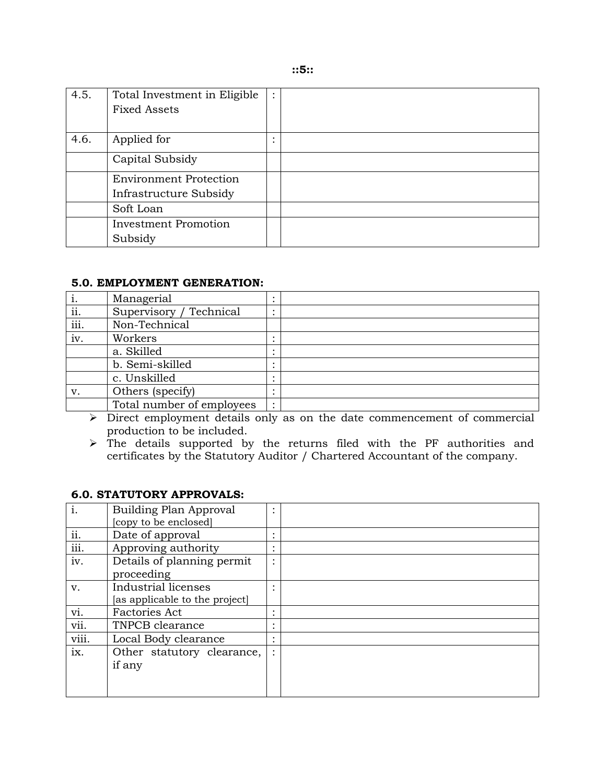| ٠<br>۰,<br>×<br>۰.<br>۰.<br>٠<br>۰,<br>×<br>٠ |  |  |  |  |  |  |
|-----------------------------------------------|--|--|--|--|--|--|
|-----------------------------------------------|--|--|--|--|--|--|

| 4.5. | Total Investment in Eligible  |  |
|------|-------------------------------|--|
|      | <b>Fixed Assets</b>           |  |
|      |                               |  |
| 4.6. | Applied for                   |  |
|      | Capital Subsidy               |  |
|      | <b>Environment Protection</b> |  |
|      | Infrastructure Subsidy        |  |
|      | Soft Loan                     |  |
|      | <b>Investment Promotion</b>   |  |
|      | Subsidy                       |  |

#### **5.0. EMPLOYMENT GENERATION:**

| Ι.   | Managerial                |  |
|------|---------------------------|--|
| ii.  | Supervisory / Technical   |  |
| iii. | Non-Technical             |  |
| iv.  | Workers                   |  |
|      | a. Skilled                |  |
|      | b. Semi-skilled           |  |
|      | c. Unskilled              |  |
| v.   | Others (specify)          |  |
|      | Total number of employees |  |

➢ Direct employment details only as on the date commencement of commercial production to be included.

➢ The details supported by the returns filed with the PF authorities and certificates by the Statutory Auditor / Chartered Accountant of the company.

#### **6.0. STATUTORY APPROVALS:**

| i.                        | Building Plan Approval         |           |  |
|---------------------------|--------------------------------|-----------|--|
|                           | [copy to be enclosed]          |           |  |
| ii.                       | Date of approval               |           |  |
| $\overline{\text{iii}}$ . | Approving authority            | $\bullet$ |  |
| iv.                       | Details of planning permit     |           |  |
|                           | proceeding                     |           |  |
| V.                        | Industrial licenses            |           |  |
|                           | [as applicable to the project] |           |  |
| vi.                       | <b>Factories Act</b>           |           |  |
| vii.                      | TNPCB clearance                | $\bullet$ |  |
| viii.                     | Local Body clearance           |           |  |
| ix.                       | Other statutory clearance,     |           |  |
|                           | if any                         |           |  |
|                           |                                |           |  |
|                           |                                |           |  |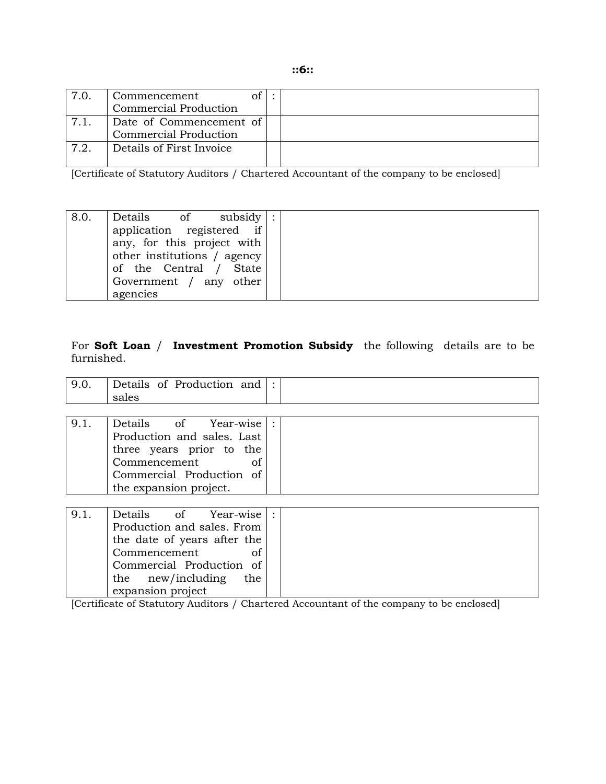| 7.0 | Commencement             |  |
|-----|--------------------------|--|
|     | Commercial Production    |  |
| 7.1 | Date of Commencement of  |  |
|     | Commercial Production    |  |
| 7.2 | Details of First Invoice |  |
|     |                          |  |

[Certificate of Statutory Auditors / Chartered Accountant of the company to be enclosed]

| 8.0. | of subsidy<br>Details       |  |
|------|-----------------------------|--|
|      | application registered if   |  |
|      | any, for this project with  |  |
|      | other institutions / agency |  |
|      | of the Central / State      |  |
|      | Government / any other      |  |
|      | agencies                    |  |

## For **Soft Loan** / **Investment Promotion Subsidy** the following details are to be furnished.

| 9.0. | Details of Production and $\vdots$<br>sales |  |
|------|---------------------------------------------|--|
|      |                                             |  |
| 9.1. | Details of Year-wise                        |  |
|      | Production and sales. Last                  |  |
|      | three years prior to the                    |  |
|      | Commencement<br>of                          |  |
|      | Commercial Production of                    |  |
|      | the expansion project.                      |  |
|      |                                             |  |
| 9.1. | Details of<br>Year-wise                     |  |
|      | Production and sales. From                  |  |
|      | the date of years after the                 |  |
|      | Commencement<br>of                          |  |
|      | Commercial Production of                    |  |
|      | the new/including<br>the                    |  |

[Certificate of Statutory Auditors / Chartered Accountant of the company to be enclosed]

expansion project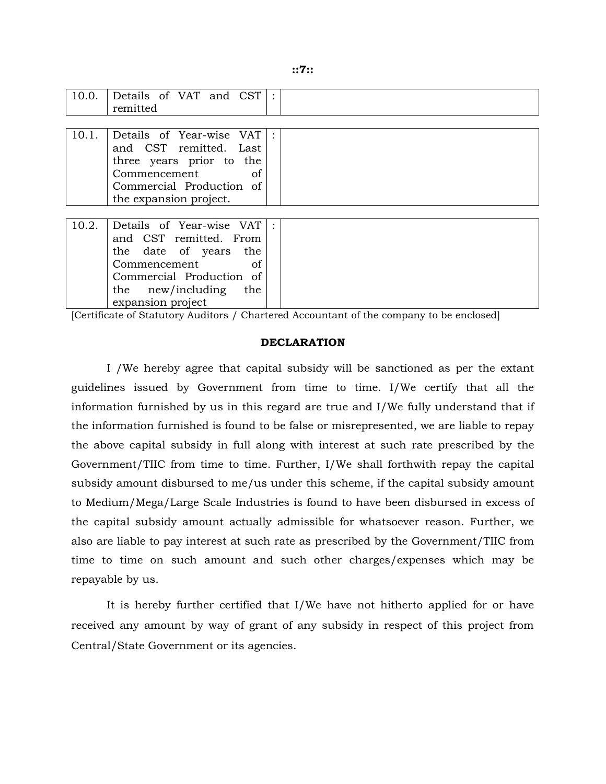| ٠<br>۰,<br>٠<br>×<br>۰.<br>۰,<br>٠ |  |  |  |  |  |  |
|------------------------------------|--|--|--|--|--|--|
|------------------------------------|--|--|--|--|--|--|

| 10.0. | Details of VAT and $CST$ :<br>remitted                                                                                                                                        |  |
|-------|-------------------------------------------------------------------------------------------------------------------------------------------------------------------------------|--|
|       |                                                                                                                                                                               |  |
| 10.1. | Details of Year-wise VAT :<br>and CST remitted. Last<br>three years prior to the<br>Commencement<br>of<br>Commercial Production of<br>the expansion project.                  |  |
|       |                                                                                                                                                                               |  |
| 10.2. | Details of Year-wise VAT :<br>and CST remitted. From<br>the date of years the<br>Commencement<br>of<br>Commercial Production of<br>the new/including the<br>expansion project |  |

[Certificate of Statutory Auditors / Chartered Accountant of the company to be enclosed]

#### **DECLARATION**

 I /We hereby agree that capital subsidy will be sanctioned as per the extant guidelines issued by Government from time to time. I/We certify that all the information furnished by us in this regard are true and I/We fully understand that if the information furnished is found to be false or misrepresented, we are liable to repay the above capital subsidy in full along with interest at such rate prescribed by the Government/TIIC from time to time. Further, I/We shall forthwith repay the capital subsidy amount disbursed to me/us under this scheme, if the capital subsidy amount to Medium/Mega/Large Scale Industries is found to have been disbursed in excess of the capital subsidy amount actually admissible for whatsoever reason. Further, we also are liable to pay interest at such rate as prescribed by the Government/TIIC from time to time on such amount and such other charges/expenses which may be repayable by us.

 It is hereby further certified that I/We have not hitherto applied for or have received any amount by way of grant of any subsidy in respect of this project from Central/State Government or its agencies.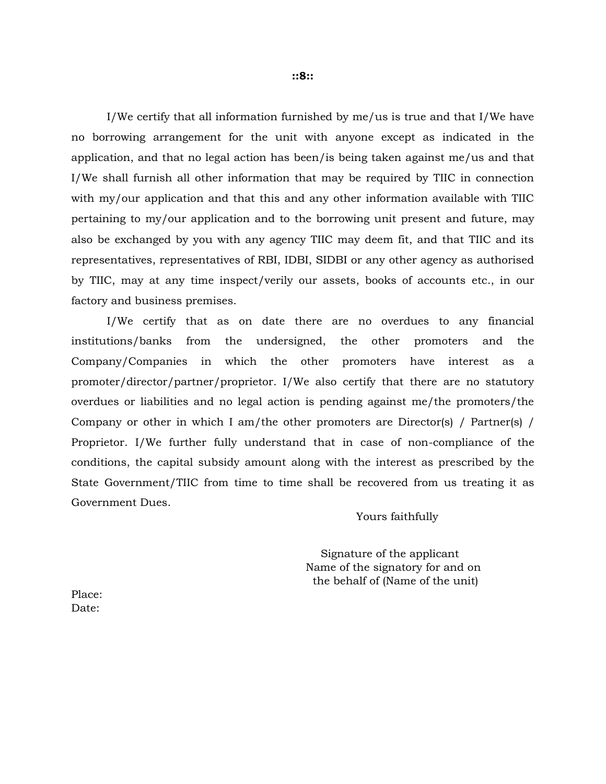I/We certify that all information furnished by me/us is true and that I/We have no borrowing arrangement for the unit with anyone except as indicated in the application, and that no legal action has been/is being taken against me/us and that I/We shall furnish all other information that may be required by TIIC in connection with my/our application and that this and any other information available with TIIC pertaining to my/our application and to the borrowing unit present and future, may also be exchanged by you with any agency TIIC may deem fit, and that TIIC and its representatives, representatives of RBI, IDBI, SIDBI or any other agency as authorised by TIIC, may at any time inspect/verily our assets, books of accounts etc., in our factory and business premises.

 I/We certify that as on date there are no overdues to any financial institutions/banks from the undersigned, the other promoters and the Company/Companies in which the other promoters have interest as a promoter/director/partner/proprietor. I/We also certify that there are no statutory overdues or liabilities and no legal action is pending against me/the promoters/the Company or other in which I am/the other promoters are Director(s) / Partner(s) / Proprietor. I/We further fully understand that in case of non-compliance of the conditions, the capital subsidy amount along with the interest as prescribed by the State Government/TIIC from time to time shall be recovered from us treating it as Government Dues.

## Yours faithfully

 Signature of the applicant Name of the signatory for and on the behalf of (Name of the unit)

Place: Date: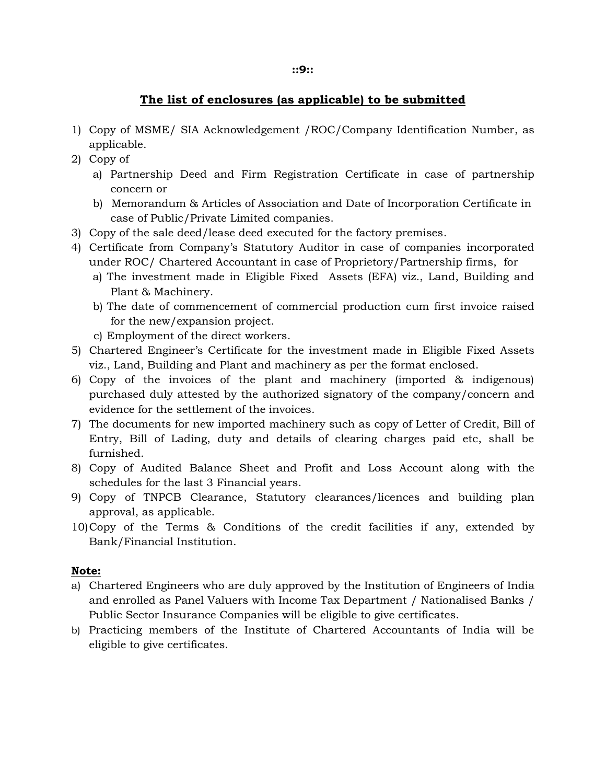## **The list of enclosures (as applicable) to be submitted**

- 1) Copy of MSME/ SIA Acknowledgement /ROC/Company Identification Number, as applicable.
- 2) Copy of
	- a) Partnership Deed and Firm Registration Certificate in case of partnership concern or
	- b) Memorandum & Articles of Association and Date of Incorporation Certificate in case of Public/Private Limited companies.
- 3) Copy of the sale deed/lease deed executed for the factory premises.
- 4) Certificate from Company's Statutory Auditor in case of companies incorporated under ROC/ Chartered Accountant in case of Proprietory/Partnership firms, for
	- a) The investment made in Eligible Fixed Assets (EFA) viz., Land, Building and Plant & Machinery.
	- b) The date of commencement of commercial production cum first invoice raised for the new/expansion project.
	- c) Employment of the direct workers.
- 5) Chartered Engineer's Certificate for the investment made in Eligible Fixed Assets viz., Land, Building and Plant and machinery as per the format enclosed.
- 6) Copy of the invoices of the plant and machinery (imported & indigenous) purchased duly attested by the authorized signatory of the company/concern and evidence for the settlement of the invoices.
- 7) The documents for new imported machinery such as copy of Letter of Credit, Bill of Entry, Bill of Lading, duty and details of clearing charges paid etc, shall be furnished.
- 8) Copy of Audited Balance Sheet and Profit and Loss Account along with the schedules for the last 3 Financial years.
- 9) Copy of TNPCB Clearance, Statutory clearances/licences and building plan approval, as applicable.
- 10)Copy of the Terms & Conditions of the credit facilities if any, extended by Bank/Financial Institution.

## **Note:**

- a) Chartered Engineers who are duly approved by the Institution of Engineers of India and enrolled as Panel Valuers with Income Tax Department / Nationalised Banks / Public Sector Insurance Companies will be eligible to give certificates.
- b) Practicing members of the Institute of Chartered Accountants of India will be eligible to give certificates.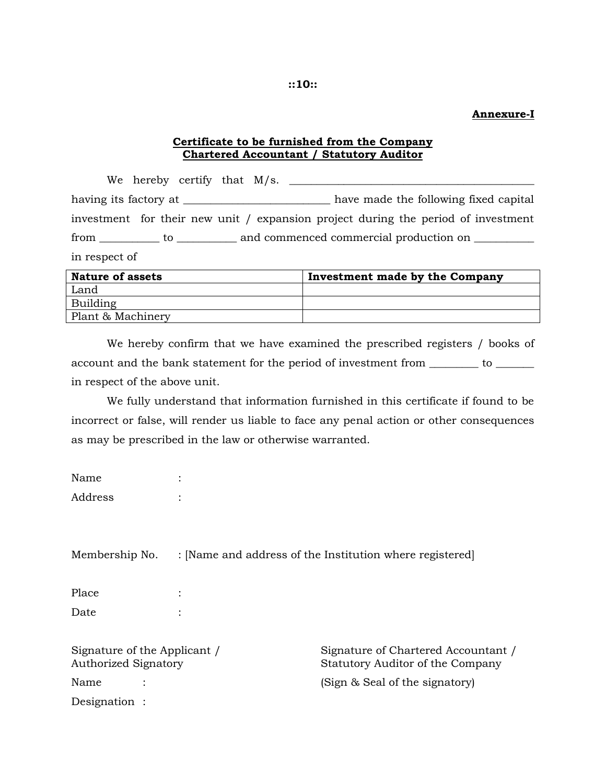**Annexure-I** 

## **Certificate to be furnished from the Company Chartered Accountant / Statutory Auditor**

 We hereby certify that M/s. \_\_\_\_\_\_\_\_\_\_\_\_\_\_\_\_\_\_\_\_\_\_\_\_\_\_\_\_\_\_\_\_\_\_\_\_\_\_\_\_\_\_\_\_\_ having its factory at \_\_\_\_\_\_\_\_\_\_\_\_\_\_\_\_\_\_\_\_\_\_\_\_\_\_\_\_\_ have made the following fixed capital investment for their new unit / expansion project during the period of investment from \_\_\_\_\_\_\_\_\_\_\_ to \_\_\_\_\_\_\_\_\_\_\_ and commenced commercial production on \_\_\_\_\_\_\_\_\_ in respect of

| <b>Nature of assets</b> | Investment made by the Company |
|-------------------------|--------------------------------|
| Land                    |                                |
| Building                |                                |
| Plant & Machinery       |                                |
|                         |                                |

 We hereby confirm that we have examined the prescribed registers / books of account and the bank statement for the period of investment from \_\_\_\_\_\_\_\_\_ to \_\_\_\_\_\_\_ in respect of the above unit.

 We fully understand that information furnished in this certificate if found to be incorrect or false, will render us liable to face any penal action or other consequences as may be prescribed in the law or otherwise warranted.

| Name    |  |
|---------|--|
| Address |  |

Membership No. : [Name and address of the Institution where registered]

| Place |  |
|-------|--|
| Date  |  |

Signature of the Applicant / Signature of Chartered Accountant / Authorized Signatory Statutory Auditor of the Company Name :  $(Sign & Seal \space of \space the \space signatory)$ Designation :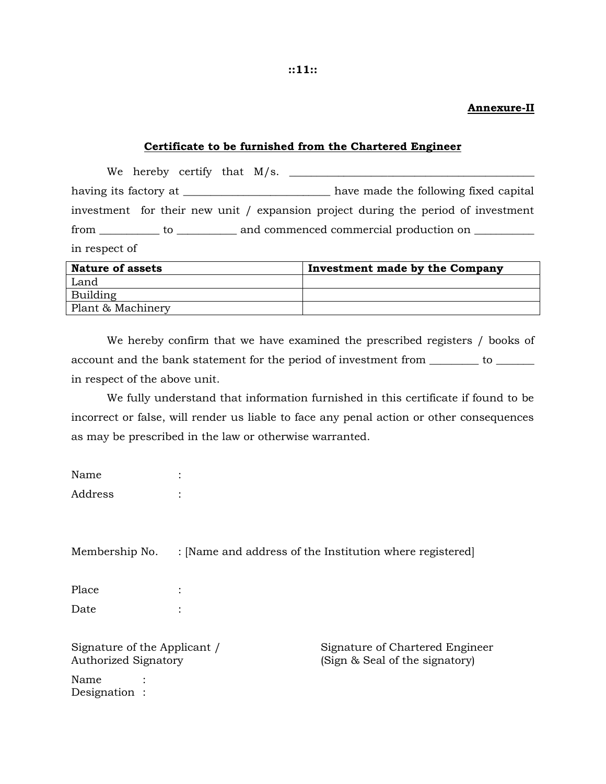#### **Annexure-II**

#### **Certificate to be furnished from the Chartered Engineer**

 We hereby certify that M/s. \_\_\_\_\_\_\_\_\_\_\_\_\_\_\_\_\_\_\_\_\_\_\_\_\_\_\_\_\_\_\_\_\_\_\_\_\_\_\_\_\_\_\_\_\_ having its factory at \_\_\_\_\_\_\_\_\_\_\_\_\_\_\_\_\_\_\_\_\_\_\_\_\_\_\_\_\_ have made the following fixed capital investment for their new unit / expansion project during the period of investment from \_\_\_\_\_\_\_\_\_\_\_ to \_\_\_\_\_\_\_\_\_\_\_ and commenced commercial production on \_\_\_\_\_\_\_\_\_ in respect of

| <b>Nature of assets</b> | Investment made by the Company |
|-------------------------|--------------------------------|
| Land                    |                                |
| Building                |                                |
| Plant & Machinery       |                                |

 We hereby confirm that we have examined the prescribed registers / books of account and the bank statement for the period of investment from \_\_\_\_\_\_\_\_ to \_\_\_\_\_\_ in respect of the above unit.

 We fully understand that information furnished in this certificate if found to be incorrect or false, will render us liable to face any penal action or other consequences as may be prescribed in the law or otherwise warranted.

| Name    |  |
|---------|--|
| Address |  |

Membership No. : [Name and address of the Institution where registered]

Place : Date :

Name Designation :

Signature of the Applicant / Signature of Chartered Engineer Authorized Signatory (Sign & Seal of the signatory)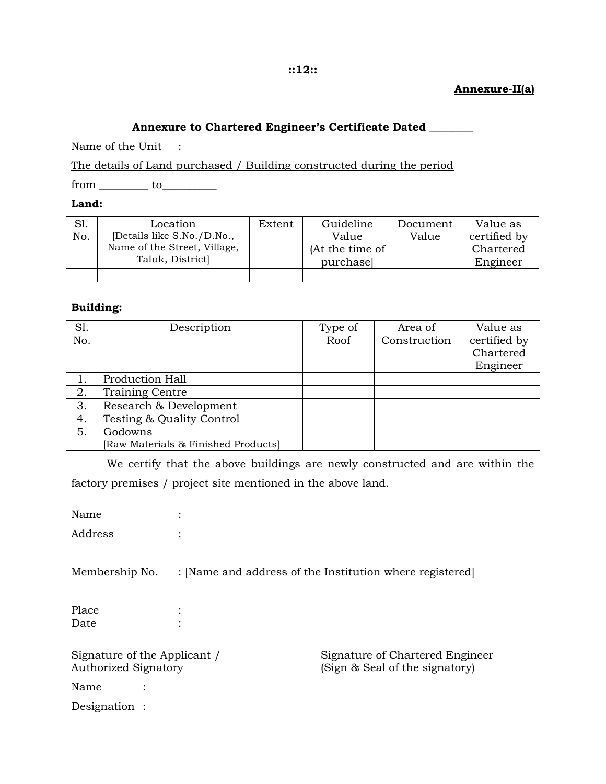#### **::12::**

## **Annexure-II(a)**

## **Annexure to Chartered Engineer's Certificate Dated \_\_\_\_\_\_\_\_**

Name of the Unit :

The details of Land purchased / Building constructed during the period

from to

#### **Land:**

| S1. | Location                     | Extent | Guideline       | Document | Value as     |
|-----|------------------------------|--------|-----------------|----------|--------------|
| No. | [Details like S.No./D.No.,   |        | Value           | Value    | certified by |
|     | Name of the Street, Village, |        | (At the time of |          | Chartered    |
|     | Taluk, District              |        | purchase        |          | Engineer     |
|     |                              |        |                 |          |              |

#### **Building:**

| S1. | Description                         | Type of | Area of      | Value as     |
|-----|-------------------------------------|---------|--------------|--------------|
| No. |                                     | Roof    | Construction | certified by |
|     |                                     |         |              | Chartered    |
|     |                                     |         |              | Engineer     |
|     | Production Hall                     |         |              |              |
| 2.  | <b>Training Centre</b>              |         |              |              |
| 3.  | Research & Development              |         |              |              |
| 4.  | Testing & Quality Control           |         |              |              |
| 5.  | Godowns                             |         |              |              |
|     | [Raw Materials & Finished Products] |         |              |              |

 We certify that the above buildings are newly constructed and are within the factory premises / project site mentioned in the above land.

Name : Address : Membership No. : [Name and address of the Institution where registered] Place : Date : Signature of the Applicant / Signature of Chartered Engineer Authorized Signatory **(Sign & Seal of the signatory)** Name : Designation :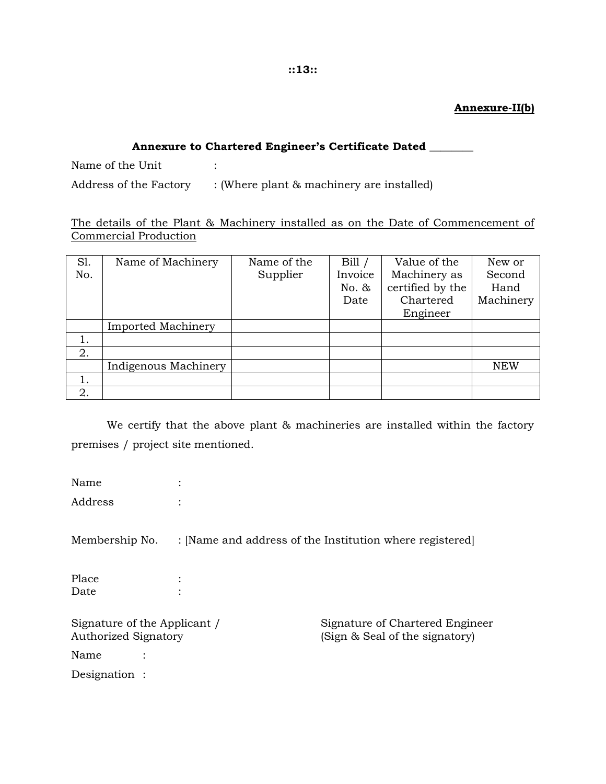## **Annexure-II(b)**

#### **::13::**

## **Annexure to Chartered Engineer's Certificate Dated \_\_\_\_\_\_\_\_**

Name of the Unit :

Address of the Factory : (Where plant & machinery are installed)

The details of the Plant & Machinery installed as on the Date of Commencement of Commercial Production

| S1. | Name of Machinery         | Name of the | Bill/   | Value of the     | New or     |
|-----|---------------------------|-------------|---------|------------------|------------|
| No. |                           | Supplier    | Invoice | Machinery as     | Second     |
|     |                           |             | No. &   | certified by the | Hand       |
|     |                           |             | Date    | Chartered        | Machinery  |
|     |                           |             |         | Engineer         |            |
|     | <b>Imported Machinery</b> |             |         |                  |            |
|     |                           |             |         |                  |            |
| 2.  |                           |             |         |                  |            |
|     | Indigenous Machinery      |             |         |                  | <b>NEW</b> |
|     |                           |             |         |                  |            |
| 2.  |                           |             |         |                  |            |

 We certify that the above plant & machineries are installed within the factory premises / project site mentioned.

Name : Address : Membership No. : [Name and address of the Institution where registered] Place : Date : Signature of the Applicant / Signature of Chartered Engineer Authorized Signatory **(Sign & Seal of the signatory)** Name : Designation :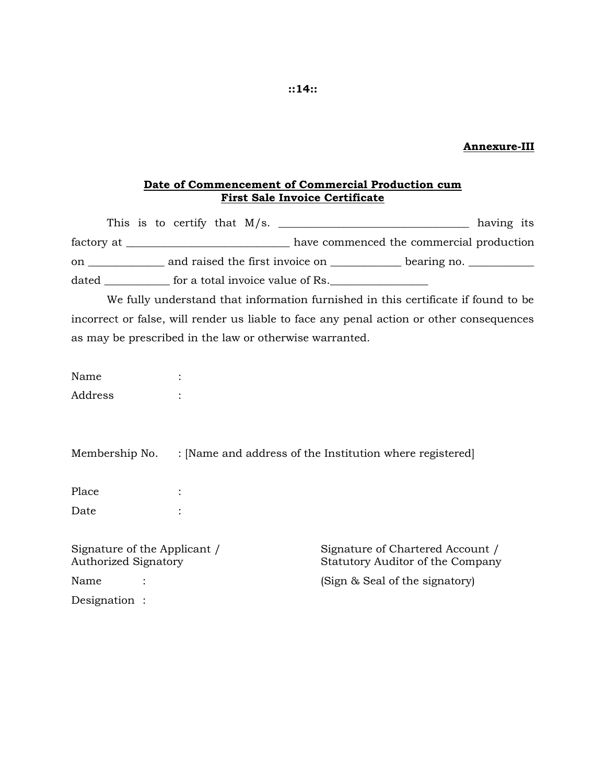#### **Annexure-III**

#### **Date of Commencement of Commercial Production cum First Sale Invoice Certificate**

|       |  |  |  | This is to certify that $M/s$ .  |                                 |                                          | having its |  |
|-------|--|--|--|----------------------------------|---------------------------------|------------------------------------------|------------|--|
|       |  |  |  |                                  |                                 | have commenced the commercial production |            |  |
| on    |  |  |  |                                  | and raised the first invoice on | bearing no. $\_\_$                       |            |  |
| dated |  |  |  | for a total invoice value of Rs. |                                 |                                          |            |  |

 We fully understand that information furnished in this certificate if found to be incorrect or false, will render us liable to face any penal action or other consequences as may be prescribed in the law or otherwise warranted.

| Name    |  |
|---------|--|
| Address |  |

Membership No. : [Name and address of the Institution where registered]

Place : Date :

Signature of the Applicant / Signature of Chartered Account / Authorized Signatory Statutory Auditor of the Company Name : : (Sign & Seal of the signatory)

Designation :